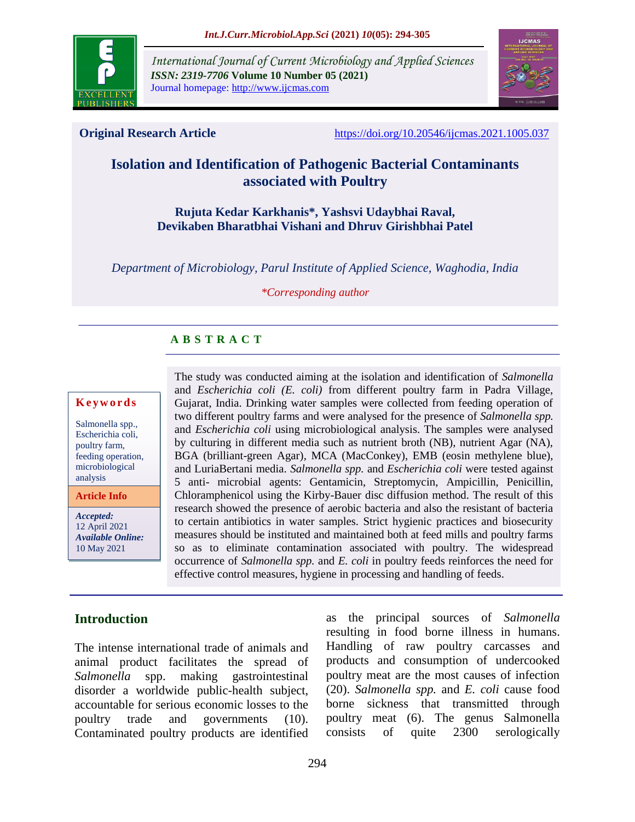

*International Journal of Current Microbiology and Applied Sciences ISSN: 2319-7706* **Volume 10 Number 05 (2021)**  Journal homepage: http://www.ijcmas.com



**Original Research Article** <https://doi.org/10.20546/ijcmas.2021.1005.037>

# **Isolation and Identification of Pathogenic Bacterial Contaminants associated with Poultry**

# **Rujuta Kedar Karkhanis\*, Yashsvi Udaybhai Raval, Devikaben Bharatbhai Vishani and Dhruv Girishbhai Patel**

*Department of Microbiology, Parul Institute of Applied Science, Waghodia, India*

#### *\*Corresponding author*

# **A B S T R A C T**

# **K e y w o r d s**

Salmonella spp., Escherichia coli, poultry farm, feeding operation, microbiological analysis

**Article Info**

*Accepted:*  12 April 2021 *Available Online:* 10 May 2021

The study was conducted aiming at the isolation and identification of *Salmonella* and *Escherichia coli (E. coli)* from different poultry farm in Padra Village, Gujarat, India. Drinking water samples were collected from feeding operation of two different poultry farms and were analysed for the presence of *Salmonella spp.* and *Escherichia coli* using microbiological analysis. The samples were analysed by culturing in different media such as nutrient broth (NB), nutrient Agar (NA), BGA (brilliant-green Agar), MCA (MacConkey), EMB (eosin methylene blue), and LuriaBertani media. *Salmonella spp.* and *Escherichia coli* were tested against 5 anti- microbial agents: Gentamicin, Streptomycin, Ampicillin, Penicillin, Chloramphenicol using the Kirby-Bauer disc diffusion method. The result of this research showed the presence of aerobic bacteria and also the resistant of bacteria to certain antibiotics in water samples. Strict hygienic practices and biosecurity measures should be instituted and maintained both at feed mills and poultry farms so as to eliminate contamination associated with poultry. The widespread occurrence of *Salmonella spp.* and *E. coli* in poultry feeds reinforces the need for effective control measures, hygiene in processing and handling of feeds.

# **Introduction**

The intense international trade of animals and animal product facilitates the spread of *Salmonella* spp. making gastrointestinal disorder a worldwide public-health subject, accountable for serious economic losses to the poultry trade and governments (10). Contaminated poultry products are identified as the principal sources of *Salmonella*  resulting in food borne illness in humans. Handling of raw poultry carcasses and products and consumption of undercooked poultry meat are the most causes of infection (20). *Salmonella spp.* and *E. coli* cause food borne sickness that transmitted through poultry meat (6). The genus Salmonella consists of quite 2300 serologically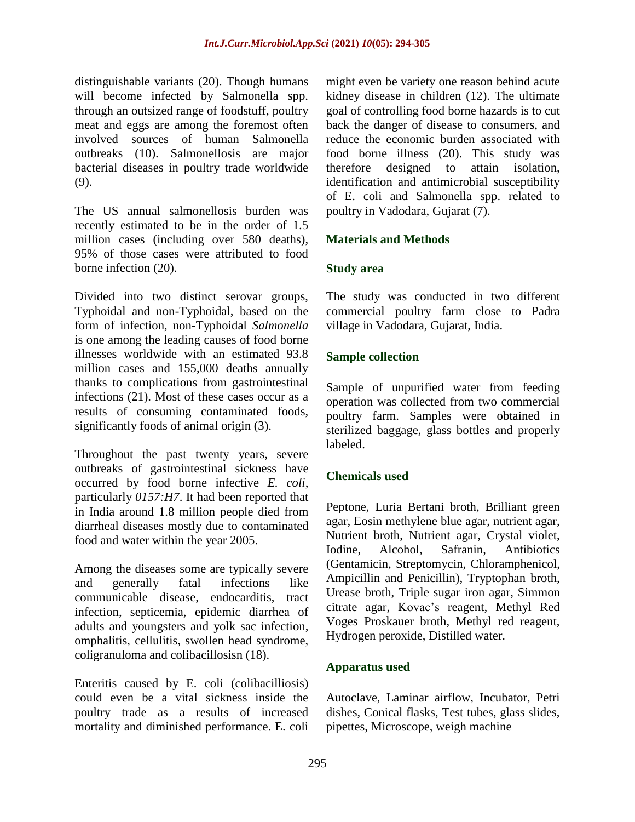distinguishable variants (20). Though humans will become infected by Salmonella spp. through an outsized range of foodstuff, poultry meat and eggs are among the foremost often involved sources of human Salmonella outbreaks (10). Salmonellosis are major bacterial diseases in poultry trade worldwide (9).

The US annual salmonellosis burden was recently estimated to be in the order of 1.5 million cases (including over 580 deaths), 95% of those cases were attributed to food borne infection (20).

Divided into two distinct serovar groups, Typhoidal and non-Typhoidal, based on the form of infection, non-Typhoidal *Salmonella* is one among the leading causes of food borne illnesses worldwide with an estimated 93.8 million cases and 155,000 deaths annually thanks to complications from gastrointestinal infections (21). Most of these cases occur as a results of consuming contaminated foods, significantly foods of animal origin (3).

Throughout the past twenty years, severe outbreaks of gastrointestinal sickness have occurred by food borne infective *E. coli*, particularly *0157:H7*. It had been reported that in India around 1.8 million people died from diarrheal diseases mostly due to contaminated food and water within the year 2005.

Among the diseases some are typically severe and generally fatal infections like communicable disease, endocarditis, tract infection, septicemia, epidemic diarrhea of adults and youngsters and yolk sac infection, omphalitis, cellulitis, swollen head syndrome, coligranuloma and colibacillosisn (18).

Enteritis caused by E. coli (colibacilliosis) could even be a vital sickness inside the poultry trade as a results of increased mortality and diminished performance. E. coli might even be variety one reason behind acute kidney disease in children (12). The ultimate goal of controlling food borne hazards is to cut back the danger of disease to consumers, and reduce the economic burden associated with food borne illness (20). This study was therefore designed to attain isolation, identification and antimicrobial susceptibility of E. coli and Salmonella spp. related to poultry in Vadodara, Gujarat (7).

# **Materials and Methods**

# **Study area**

The study was conducted in two different commercial poultry farm close to Padra village in Vadodara, Gujarat, India.

# **Sample collection**

Sample of unpurified water from feeding operation was collected from two commercial poultry farm. Samples were obtained in sterilized baggage, glass bottles and properly labeled.

# **Chemicals used**

Peptone, Luria Bertani broth, Brilliant green agar, Eosin methylene blue agar, nutrient agar, Nutrient broth, Nutrient agar, Crystal violet, Iodine, Alcohol, Safranin, Antibiotics (Gentamicin, Streptomycin, Chloramphenicol, Ampicillin and Penicillin), Tryptophan broth, Urease broth, Triple sugar iron agar, Simmon citrate agar, Kovac's reagent, Methyl Red Voges Proskauer broth, Methyl red reagent, Hydrogen peroxide, Distilled water.

# **Apparatus used**

Autoclave, Laminar airflow, Incubator, Petri dishes, Conical flasks, Test tubes, glass slides, pipettes, Microscope, weigh machine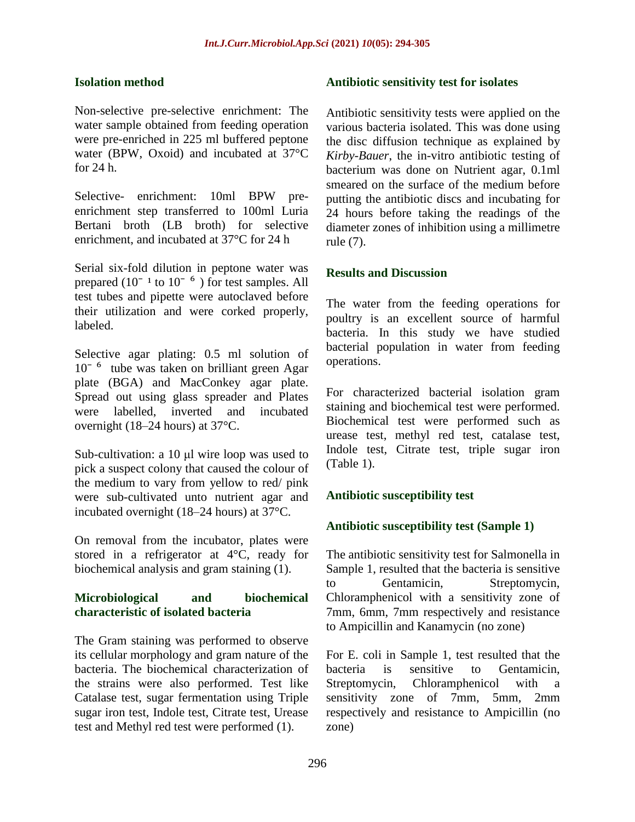# **Isolation method**

Non-selective pre-selective enrichment: The water sample obtained from feeding operation were pre-enriched in 225 ml buffered peptone water (BPW, Oxoid) and incubated at 37°C for 24 h.

Selective- enrichment: 10ml BPW preenrichment step transferred to 100ml Luria Bertani broth (LB broth) for selective enrichment, and incubated at 37°C for 24 h

Serial six-fold dilution in peptone water was prepared  $(10^{-1}$  to  $10^{-6}$ ) for test samples. All test tubes and pipette were autoclaved before their utilization and were corked properly, labeled.

Selective agar plating: 0.5 ml solution of  $10<sup>-6</sup>$  tube was taken on brilliant green Agar plate (BGA) and MacConkey agar plate. Spread out using glass spreader and Plates were labelled, inverted and incubated overnight (18–24 hours) at 37°C.

Sub-cultivation: a 10 μl wire loop was used to pick a suspect colony that caused the colour of the medium to vary from yellow to red/ pink were sub-cultivated unto nutrient agar and incubated overnight (18–24 hours) at 37°C.

On removal from the incubator, plates were stored in a refrigerator at 4°C, ready for biochemical analysis and gram staining (1).

# **Microbiological and biochemical characteristic of isolated bacteria**

The Gram staining was performed to observe its cellular morphology and gram nature of the bacteria. The biochemical characterization of the strains were also performed. Test like Catalase test, sugar fermentation using Triple sugar iron test, Indole test, Citrate test, Urease test and Methyl red test were performed (1).

# **Antibiotic sensitivity test for isolates**

Antibiotic sensitivity tests were applied on the various bacteria isolated. This was done using the disc diffusion technique as explained by *Kirby-Bauer*, the in-vitro antibiotic testing of bacterium was done on Nutrient agar, 0.1ml smeared on the surface of the medium before putting the antibiotic discs and incubating for 24 hours before taking the readings of the diameter zones of inhibition using a millimetre rule (7).

# **Results and Discussion**

The water from the feeding operations for poultry is an excellent source of harmful bacteria. In this study we have studied bacterial population in water from feeding operations.

For characterized bacterial isolation gram staining and biochemical test were performed. Biochemical test were performed such as urease test, methyl red test, catalase test, Indole test, Citrate test, triple sugar iron (Table 1).

# **Antibiotic susceptibility test**

# **Antibiotic susceptibility test (Sample 1)**

The antibiotic sensitivity test for Salmonella in Sample 1, resulted that the bacteria is sensitive to Gentamicin, Streptomycin, Chloramphenicol with a sensitivity zone of 7mm, 6mm, 7mm respectively and resistance to Ampicillin and Kanamycin (no zone)

For E. coli in Sample 1, test resulted that the bacteria is sensitive to Gentamicin, Streptomycin, Chloramphenicol with a sensitivity zone of 7mm, 5mm, 2mm respectively and resistance to Ampicillin (no zone)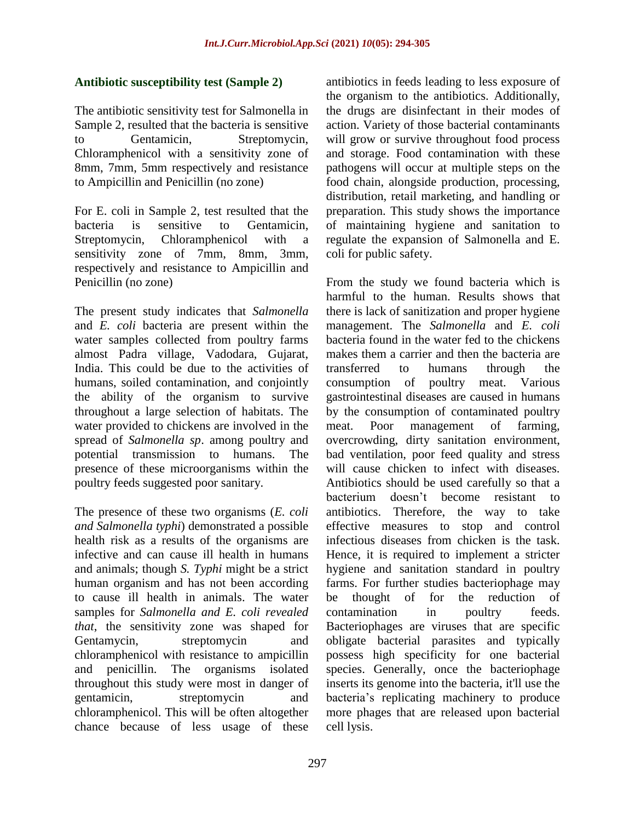# **Antibiotic susceptibility test (Sample 2)**

The antibiotic sensitivity test for Salmonella in Sample 2, resulted that the bacteria is sensitive to Gentamicin, Streptomycin, Chloramphenicol with a sensitivity zone of 8mm, 7mm, 5mm respectively and resistance to Ampicillin and Penicillin (no zone)

For E. coli in Sample 2, test resulted that the bacteria is sensitive to Gentamicin, Streptomycin, Chloramphenicol with a sensitivity zone of 7mm, 8mm, 3mm, respectively and resistance to Ampicillin and Penicillin (no zone)

The present study indicates that *Salmonella* and *E. coli* bacteria are present within the water samples collected from poultry farms almost Padra village, Vadodara, Gujarat, India. This could be due to the activities of humans, soiled contamination, and conjointly the ability of the organism to survive throughout a large selection of habitats. The water provided to chickens are involved in the spread of *Salmonella sp*. among poultry and potential transmission to humans. The presence of these microorganisms within the poultry feeds suggested poor sanitary.

The presence of these two organisms (*E. coli and Salmonella typhi*) demonstrated a possible health risk as a results of the organisms are infective and can cause ill health in humans and animals; though *S. Typhi* might be a strict human organism and has not been according to cause ill health in animals. The water samples for *Salmonella and E. coli revealed that*, the sensitivity zone was shaped for Gentamycin, streptomycin and chloramphenicol with resistance to ampicillin and penicillin. The organisms isolated throughout this study were most in danger of gentamicin, streptomycin and chloramphenicol. This will be often altogether chance because of less usage of these

antibiotics in feeds leading to less exposure of the organism to the antibiotics. Additionally, the drugs are disinfectant in their modes of action. Variety of those bacterial contaminants will grow or survive throughout food process and storage. Food contamination with these pathogens will occur at multiple steps on the food chain, alongside production, processing, distribution, retail marketing, and handling or preparation. This study shows the importance of maintaining hygiene and sanitation to regulate the expansion of Salmonella and E. coli for public safety.

From the study we found bacteria which is harmful to the human. Results shows that there is lack of sanitization and proper hygiene management. The *Salmonella* and *E. coli* bacteria found in the water fed to the chickens makes them a carrier and then the bacteria are transferred to humans through the consumption of poultry meat. Various gastrointestinal diseases are caused in humans by the consumption of contaminated poultry meat. Poor management of farming, overcrowding, dirty sanitation environment, bad ventilation, poor feed quality and stress will cause chicken to infect with diseases. Antibiotics should be used carefully so that a bacterium doesn't become resistant to antibiotics. Therefore, the way to take effective measures to stop and control infectious diseases from chicken is the task. Hence, it is required to implement a stricter hygiene and sanitation standard in poultry farms. For further studies bacteriophage may be thought of for the reduction of contamination in poultry feeds. Bacteriophages are viruses that are specific obligate bacterial parasites and typically possess high specificity for one bacterial species. Generally, once the bacteriophage inserts its genome into the bacteria, it'll use the bacteria's replicating machinery to produce more phages that are released upon bacterial cell lysis.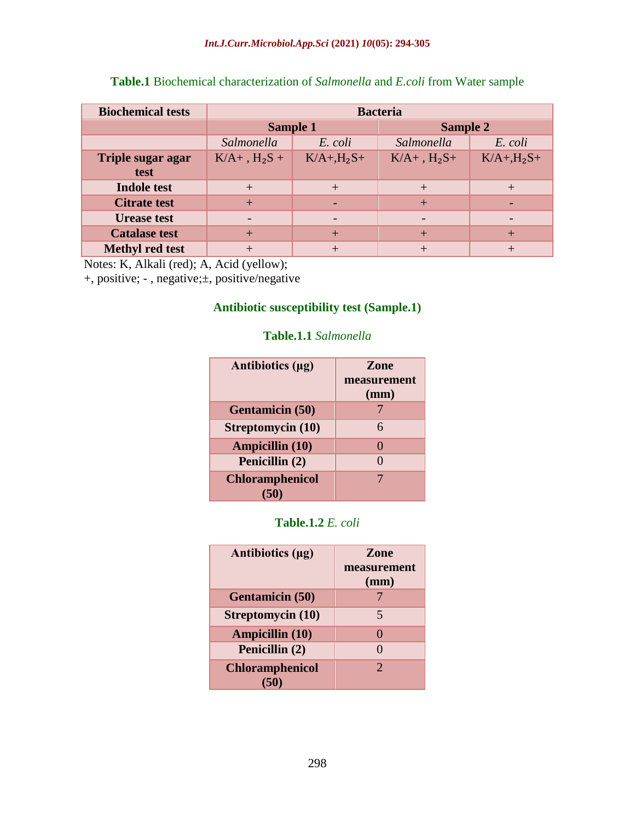| <b>Biochemical tests</b> | <b>Bacteria</b>  |                  |                  |                  |
|--------------------------|------------------|------------------|------------------|------------------|
|                          | <b>Sample 1</b>  |                  | <b>Sample 2</b>  |                  |
|                          | Salmonella       | E. coli          | Salmonella       | E. coli          |
| <b>Triple sugar agar</b> | $K/A+$ , $H_2S+$ | $K/A+$ , $H_2S+$ | $K/A+$ , $H_2S+$ | $K/A+$ , $H_2S+$ |
| test                     |                  |                  |                  |                  |
| <b>Indole test</b>       | $+$              | $^{+}$           | $^{+}$           | $\pm$            |
| <b>Citrate test</b>      | $+$              |                  | $+$              |                  |
| <b>Urease test</b>       | $\qquad \qquad$  |                  |                  |                  |
| <b>Catalase test</b>     | $+$              | $+$              | $\pm$            |                  |
| <b>Methyl red test</b>   | $+$              | $\mathrm{+}$     | $^+$             |                  |

**Table.1** Biochemical characterization of *Salmonella* and *E.coli* from Water sample

Notes: K, Alkali (red); A, Acid (yellow);

+, positive; - , negative;±, positive/negative

# **Antibiotic susceptibility test (Sample.1)**

#### **Table.1.1** *Salmonella*

| Antibiotics (µg)         | <b>Zone</b><br>measurement<br>(mm) |
|--------------------------|------------------------------------|
| <b>Gentamicin (50)</b>   |                                    |
| <b>Streptomycin</b> (10) | 6                                  |
| <b>Ampicillin (10)</b>   |                                    |
| Penicillin (2)           |                                    |
| <b>Chloramphenicol</b>   |                                    |

# **Table.1.2** *E. coli*

| Antibiotics (µg)       | <b>Zone</b><br>measurement<br>(mm) |
|------------------------|------------------------------------|
| <b>Gentamicin</b> (50) |                                    |
| Streptomycin (10)      | 5                                  |
| Ampicillin (10)        | $\mathbf{\Omega}$                  |
| Penicillin (2)         |                                    |
| <b>Chloramphenicol</b> | $\mathcal{D}_{\cdot}$              |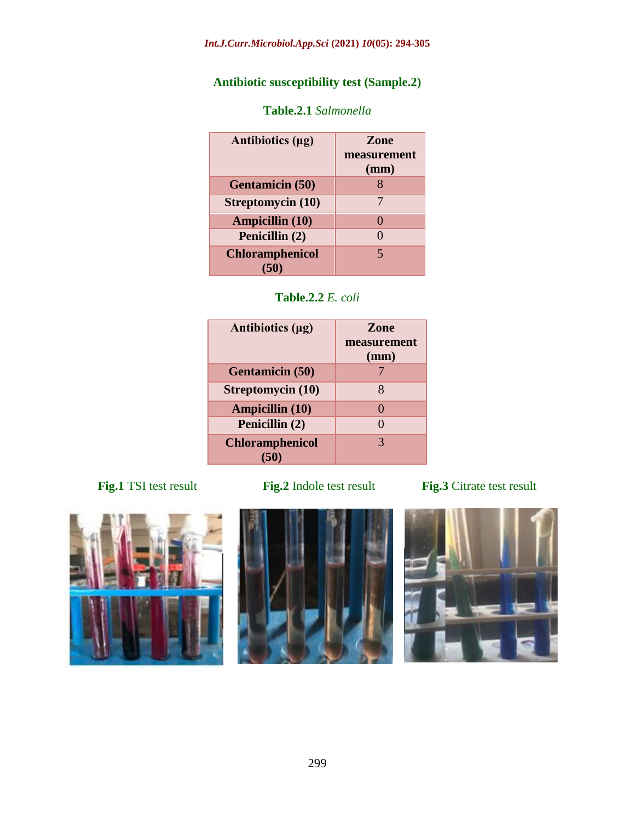# **Antibiotic susceptibility test (Sample.2)**

| Antibiotics (µg)       | <b>Zone</b><br>measurement<br>(mm) |
|------------------------|------------------------------------|
| <b>Gentamicin</b> (50) |                                    |
| Streptomycin (10)      |                                    |
| <b>Ampicillin (10)</b> |                                    |
| Penicillin (2)         |                                    |
| <b>Chloramphenicol</b> | 5                                  |

# **Table.2.1** *Salmonella*



| Antibiotics (µg)       | <b>Zone</b><br>measurement<br>(mm) |
|------------------------|------------------------------------|
| <b>Gentamicin (50)</b> |                                    |
| Streptomycin (10)      | 8                                  |
| <b>Ampicillin (10)</b> |                                    |
| Penicillin (2)         |                                    |
| <b>Chloramphenicol</b> | 3                                  |







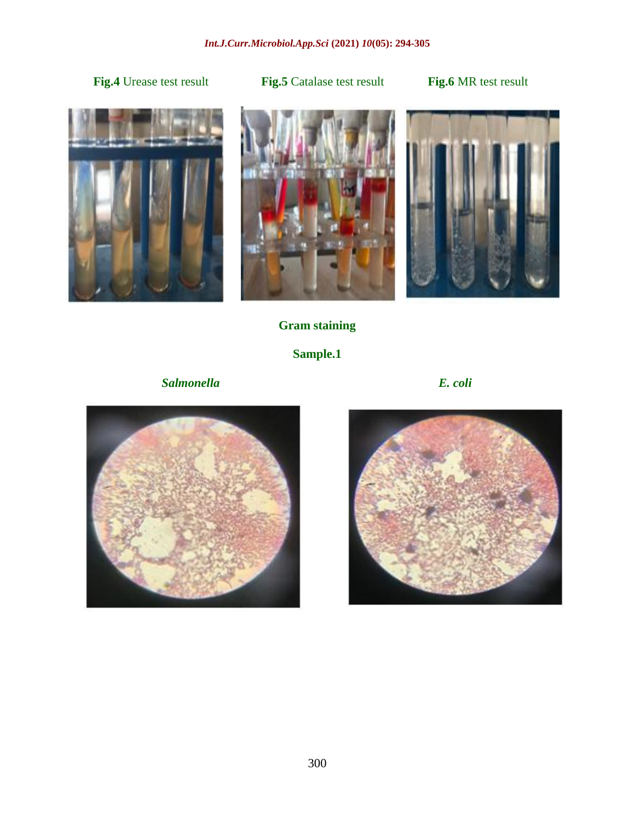# **Fig.4** Urease test result **Fig.5** Catalase test result **Fig.6** MR test result







# **Gram staining**

# **Sample.1**

 *Salmonella E. coli*

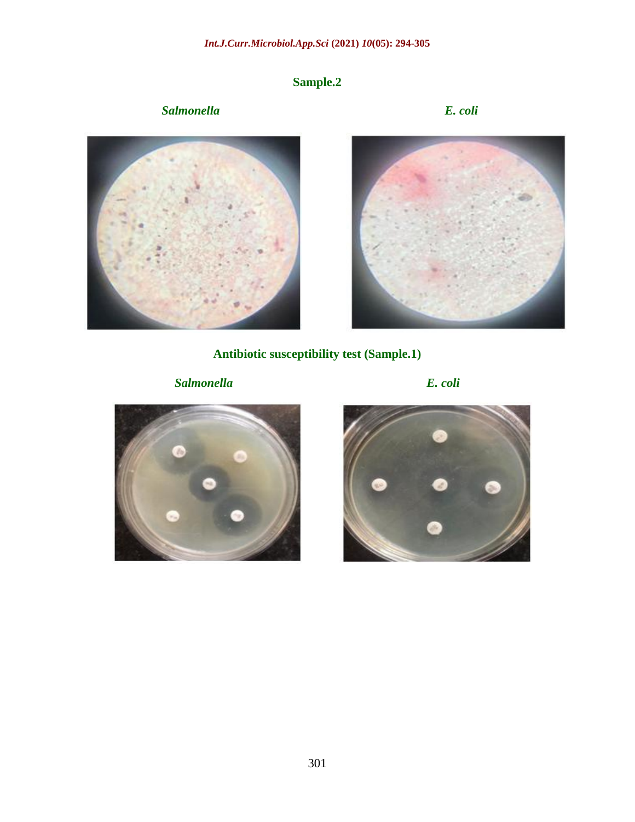# **Sample.2**

# *Salmonella E. coli*





**Antibiotic susceptibility test (Sample.1)**

*Salmonella E. coli*





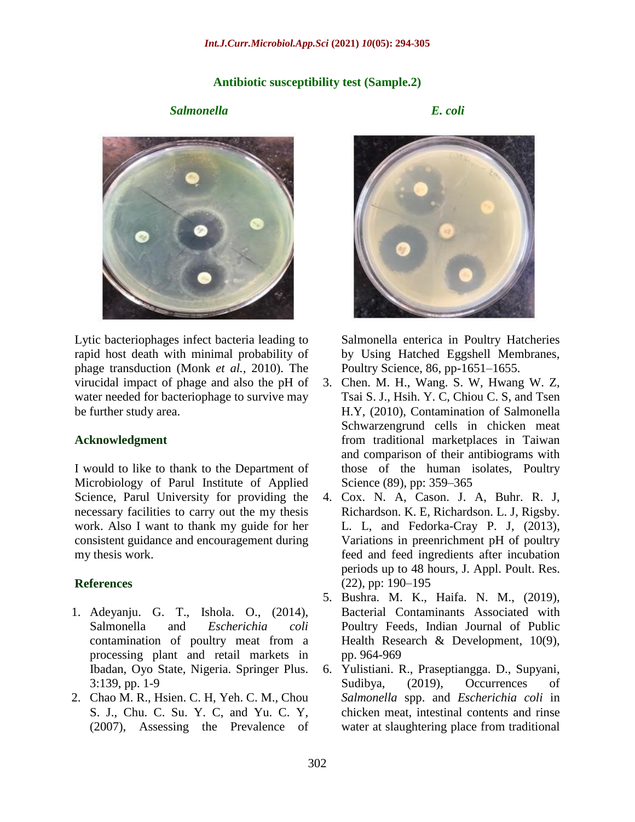### **Antibiotic susceptibility test (Sample.2)**

### *Salmonella E. coli*



Lytic bacteriophages infect bacteria leading to rapid host death with minimal probability of phage transduction (Monk *et al.,* 2010). The virucidal impact of phage and also the pH of water needed for bacteriophage to survive may be further study area.

### **Acknowledgment**

I would to like to thank to the Department of Microbiology of Parul Institute of Applied Science, Parul University for providing the necessary facilities to carry out the my thesis work. Also I want to thank my guide for her consistent guidance and encouragement during my thesis work.

### **References**

- 1. Adeyanju. G. T., Ishola. O., (2014), Salmonella and *Escherichia coli* contamination of poultry meat from a processing plant and retail markets in Ibadan, Oyo State, Nigeria. Springer Plus. 3:139, pp. 1-9
- 2. Chao M. R., Hsien. C. H, Yeh. C. M., Chou S. J., Chu. C. Su. Y. C, and Yu. C. Y, (2007), Assessing the Prevalence of



Salmonella enterica in Poultry Hatcheries by Using Hatched Eggshell Membranes, Poultry Science, 86, pp-1651–1655.

- 3. Chen. M. H., Wang. S. W, Hwang W. Z, Tsai S. J., Hsih. Y. C, Chiou C. S, and Tsen H.Y, (2010), Contamination of Salmonella Schwarzengrund cells in chicken meat from traditional marketplaces in Taiwan and comparison of their antibiograms with those of the human isolates, Poultry Science (89), pp: 359–365
- 4. Cox. N. A, Cason. J. A, Buhr. R. J, Richardson. K. E, Richardson. L. J, Rigsby. L. L, and Fedorka-Cray P. J, (2013), Variations in preenrichment pH of poultry feed and feed ingredients after incubation periods up to 48 hours, J. Appl. Poult. Res. (22), pp: 190–195
- 5. Bushra. M. K., Haifa. N. M., (2019), Bacterial Contaminants Associated with Poultry Feeds, Indian Journal of Public Health Research & Development, 10(9), pp. 964-969
- 6. Yulistiani. R., Praseptiangga. D., Supyani, Sudibya, (2019), Occurrences of *Salmonella* spp. and *Escherichia coli* in chicken meat, intestinal contents and rinse water at slaughtering place from traditional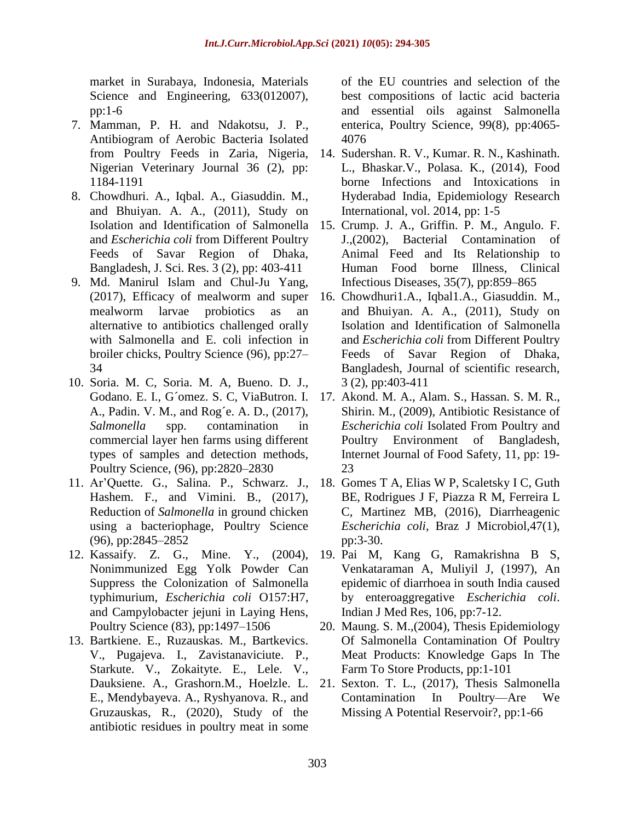market in Surabaya, Indonesia, Materials Science and Engineering, 633(012007), pp:1-6

- 7. Mamman, P. H. and Ndakotsu, J. P., Antibiogram of Aerobic Bacteria Isolated from Poultry Feeds in Zaria, Nigeria, Nigerian Veterinary Journal 36 (2), pp: 1184-1191
- 8. Chowdhuri. A., Iqbal. A., Giasuddin. M., and Bhuiyan. A. A., (2011), Study on and *Escherichia coli* from Different Poultry Feeds of Savar Region of Dhaka, Bangladesh, J. Sci. Res. 3 (2), pp: 403-411
- 9. Md. Manirul Islam and Chul-Ju Yang, (2017), Efficacy of mealworm and super mealworm larvae probiotics as an alternative to antibiotics challenged orally with Salmonella and E. coli infection in broiler chicks, Poultry Science (96), pp:27– 34
- 10. Soria. M. C, Soria. M. A, Bueno. D. J., Godano. E. I., G´omez. S. C, ViaButron. I. A., Padin. V. M., and Rog´e. A. D., (2017), *Salmonella* spp. contamination in commercial layer hen farms using different types of samples and detection methods, Poultry Science, (96), pp:2820–2830
- 11. Ar'Quette. G., Salina. P., Schwarz. J., Hashem. F., and Vimini. B., (2017), Reduction of *Salmonella* in ground chicken using a bacteriophage, Poultry Science (96), pp:2845–2852
- 12. Kassaify. Z. G., Mine. Y., (2004), Nonimmunized Egg Yolk Powder Can Suppress the Colonization of Salmonella typhimurium, *Escherichia coli* O157:H7, and Campylobacter jejuni in Laying Hens, Poultry Science (83), pp:1497–1506
- 13. Bartkiene. E., Ruzauskas. M., Bartkevics. V., Pugajeva. I., Zavistanaviciute. P., Starkute. V., Zokaityte. E., Lele. V., Dauksiene. A., Grashorn.M., Hoelzle. L. E., Mendybayeva. A., Ryshyanova. R., and Gruzauskas, R., (2020), Study of the antibiotic residues in poultry meat in some

of the EU countries and selection of the best compositions of lactic acid bacteria and essential oils against Salmonella enterica, Poultry Science, 99(8), pp:4065- 4076

- 14. Sudershan. R. V., Kumar. R. N., Kashinath. L., Bhaskar.V., Polasa. K., (2014), Food borne Infections and Intoxications in Hyderabad India, Epidemiology Research International, vol. 2014, pp: 1-5
- Isolation and Identification of Salmonella 15. Crump. J. A., Griffin. P. M., Angulo. F. J.,(2002), Bacterial Contamination of Animal Feed and Its Relationship to Human Food borne Illness, Clinical Infectious Diseases, 35(7), pp:859–865
	- 16. Chowdhuri1.A., Iqbal1.A., Giasuddin. M., and Bhuiyan. A. A., (2011), Study on Isolation and Identification of Salmonella and *Escherichia coli* from Different Poultry Feeds of Savar Region of Dhaka, Bangladesh, Journal of scientific research, 3 (2), pp:403-411
	- 17. Akond. M. A., Alam. S., Hassan. S. M. R., Shirin. M., (2009), Antibiotic Resistance of *Escherichia coli* Isolated From Poultry and Poultry Environment of Bangladesh, Internet Journal of Food Safety, 11, pp: 19- 23
	- 18. Gomes T A, Elias W P, Scaletsky I C, Guth BE, Rodrigues J F, Piazza R M, Ferreira L C, Martinez MB, (2016), Diarrheagenic *Escherichia coli*, Braz J Microbiol,47(1), pp:3-30.
	- 19. Pai M, Kang G, Ramakrishna B S, Venkataraman A, Muliyil J, (1997), An epidemic of diarrhoea in south India caused by enteroaggregative *Escherichia coli*. Indian J Med Res, 106, pp:7-12.
	- 20. Maung. S. M.,(2004), Thesis Epidemiology Of Salmonella Contamination Of Poultry Meat Products: Knowledge Gaps In The Farm To Store Products, pp:1-101
	- 21. Sexton. T. L., (2017), Thesis Salmonella Contamination In Poultry—Are We Missing A Potential Reservoir?, pp:1-66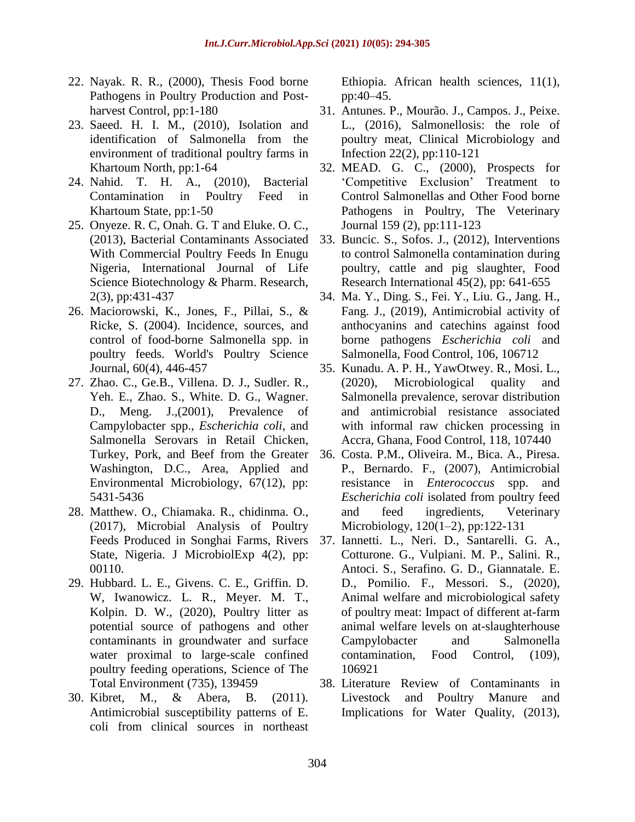- 22. Nayak. R. R., (2000), Thesis Food borne Pathogens in Poultry Production and Postharvest Control, pp:1-180
- 23. Saeed. H. I. M., (2010), Isolation and identification of Salmonella from the environment of traditional poultry farms in Khartoum North, pp:1-64
- 24. Nahid. T. H. A., (2010), Bacterial Contamination in Poultry Feed in Khartoum State, pp:1-50
- 25. Onyeze. R. C, Onah. G. T and Eluke. O. C., (2013), Bacterial Contaminants Associated With Commercial Poultry Feeds In Enugu Nigeria, International Journal of Life Science Biotechnology & Pharm. Research, 2(3), pp:431-437
- 26. Maciorowski, K., Jones, F., Pillai, S., & Ricke, S. (2004). Incidence, sources, and control of food-borne Salmonella spp. in poultry feeds. World's Poultry Science Journal, 60(4), 446-457
- 27. Zhao. C., Ge.B., Villena. D. J., Sudler. R., Yeh. E., Zhao. S., White. D. G., Wagner. D., Meng. J.,(2001), Prevalence of Campylobacter spp., *Escherichia coli*, and Salmonella Serovars in Retail Chicken, Turkey, Pork, and Beef from the Greater Washington, D.C., Area, Applied and Environmental Microbiology, 67(12), pp: 5431-5436
- 28. Matthew. O., Chiamaka. R., chidinma. O., (2017), Microbial Analysis of Poultry Feeds Produced in Songhai Farms, Rivers State, Nigeria. J MicrobiolExp 4(2), pp: 00110.
- 29. Hubbard. L. E., Givens. C. E., Griffin. D. W, Iwanowicz. L. R., Meyer. M. T., Kolpin. D. W., (2020), Poultry litter as potential source of pathogens and other contaminants in groundwater and surface water proximal to large-scale confined poultry feeding operations, Science of The Total Environment (735), 139459
- 30. Kibret, M., & Abera, B. (2011). Antimicrobial susceptibility patterns of E. coli from clinical sources in northeast

Ethiopia. African health sciences, 11(1), pp:40–45.

- 31. Antunes. P., Mourão. J., Campos. J., Peixe. L., (2016), Salmonellosis: the role of poultry meat, Clinical Microbiology and Infection 22(2), pp:110-121
- 32. MEAD. G. C., (2000), Prospects for 'Competitive Exclusion' Treatment to Control Salmonellas and Other Food borne Pathogens in Poultry, The Veterinary Journal 159 (2), pp:111-123
- 33. Buncic. S., Sofos. J., (2012), Interventions to control Salmonella contamination during poultry, cattle and pig slaughter, Food Research International 45(2), pp: 641-655
- 34. Ma. Y., Ding. S., Fei. Y., Liu. G., Jang. H., Fang. J., (2019), Antimicrobial activity of anthocyanins and catechins against food borne pathogens *Escherichia coli* and Salmonella, Food Control, 106, 106712
- 35. Kunadu. A. P. H., YawOtwey. R., Mosi. L., (2020), Microbiological quality and Salmonella prevalence, serovar distribution and antimicrobial resistance associated with informal raw chicken processing in Accra, Ghana, Food Control, 118, 107440
- 36. Costa. P.M., Oliveira. M., Bica. A., Piresa. P., Bernardo. F., (2007), Antimicrobial resistance in *Enterococcus* spp. and *Escherichia coli* isolated from poultry feed and feed ingredients, Veterinary Microbiology, 120(1–2), pp:122-131
- 37. Iannetti. L., Neri. D., Santarelli. G. A., Cotturone. G., Vulpiani. M. P., Salini. R., Antoci. S., Serafino. G. D., Giannatale. E. D., Pomilio. F., Messori. S., (2020), Animal welfare and microbiological safety of poultry meat: Impact of different at-farm animal welfare levels on at-slaughterhouse Campylobacter and Salmonella contamination, Food Control, (109), 106921
- 38. Literature Review of Contaminants in Livestock and Poultry Manure and Implications for Water Quality, (2013),